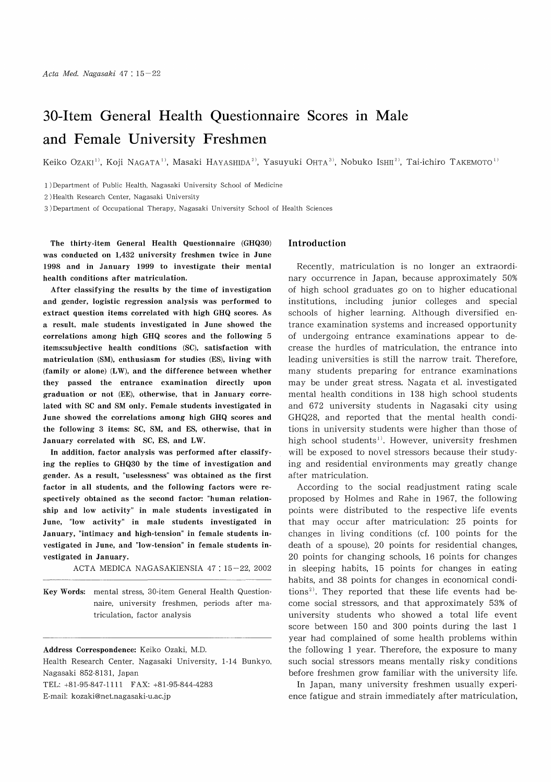# 30-Item General Health Questionnaire Scores in Male and Female University Freshmen

Keiko OzAKI<sup>1)</sup>, Koji NAGATA<sup>1)</sup>, Masaki HAYASHIDA<sup>2)</sup>, Yasuyuki OHTA<sup>3)</sup>, Nobuko ISHII<sup>2)</sup>, Tai-ichiro TAKEMOTO<sup>1)</sup>

1) Department of Public Health, Nagasaki University School of Medicine

2 )Health Research Center, Nagasaki University

3) Department of Occupational Therapy, Nagasaki University School of Health Sciences

The thirty-item General Health Questionnaire (GHQ30) was conducted on 1,432 university freshmen twice in June 1998 and in January 1999 to investigate their mental health conditions after matriculation.

After classifying the results by the time of investigation and gender, logistic regression analysis was performed to extract question items correlated with high GHQ scores. As a result, male students investigated in June showed the correlations among high GHQ scores and the following 5 items:subjective health conditions (SC), satisfaction with matriculation (SM), enthusiasm for studies (ES), living with (family or alone) (LW), and the difference between whether they passed the entrance examination directly upon graduation or not (EE), otherwise, that in January correlated with SC and SM only. Female students investigated in June showed the correlations among high GHQ scores and the following 3 items: SC, SM, and ES, otherwise, that in January correlated with SC, ES, and LW.

In addition, factor analysis was performed after classifying the replies to GHQ30 by the time of investigation and gender. As a result, "uselessness" was obtained as the first factor in all students, and the following factors were respectively obtained as the second factor: "human relationship and low activity" in male students investigated in June, "low activity" in male students investigated in January, "intimacy and high-tension" in female students investigated in June, and "low-tension" in female students investigated in January.

ACTA MEDICA NAGASAKIENSIA 47: 15-22, 2002

Key Words: mental stress, 30-item General Health Questionnaire, university freshmen, periods after matriculation, factor analysis

Address Correspondence: Keiko Ozaki, M.D.

Health Research Center, Nagasaki University, 1-14 Bunkyo, Nagasaki 852-8131, Japan TEL: +81-95-847-1111 FAX: +81-95-844-4283

E-mail: kozaki@net.nagasaki-u.ac.jp

## Introduction

Recently, matriculation is no longer an extraordinary occurrence in Japan, because approximately 50% of high school graduates go on to higher educational institutions, including junior colleges and special schools of higher learning. Although diversified entrance examination systems and increased opportunity of undergoing entrance examinations appear to decrease the hurdles of matriculation, the entrance into leading universities is still the narrow trait. Therefore, many students preparing for entrance examinations may be under great stress. Nagata et al. investigated mental health conditions in 138 high school students and 672 university students in Nagasaki city using GHQ28, and reported that the mental health conditions in university students were higher than those of high school students<sup>1)</sup>. However, university freshmen will be exposed to novel stressors because their studying and residential environments may greatly change after matriculation.

According to the social readjustment rating scale proposed by Holmes and Rahe in 1967, the following points were distributed to the respective life events that may occur after matriculation: 25 points for changes in living conditions (cf. 100 points for the death of a spouse), 20 points for residential changes, 20 points for changing schools, 16 points for changes in sleeping habits, 15 points for changes in eating habits, and 38 points for changes in economical conditions<sup>2)</sup>. They reported that these life events had become social stressors, and that approximately 53% of university students who showed a total life event score between 150 and 300 points during the last 1 year had complained of some health problems within the following 1 year. Therefore, the exposure to many such social stressors means mentally risky conditions before freshmen grow familiar with the university life.

In Japan, many university freshmen usually experience fatigue and strain immediately after matriculation,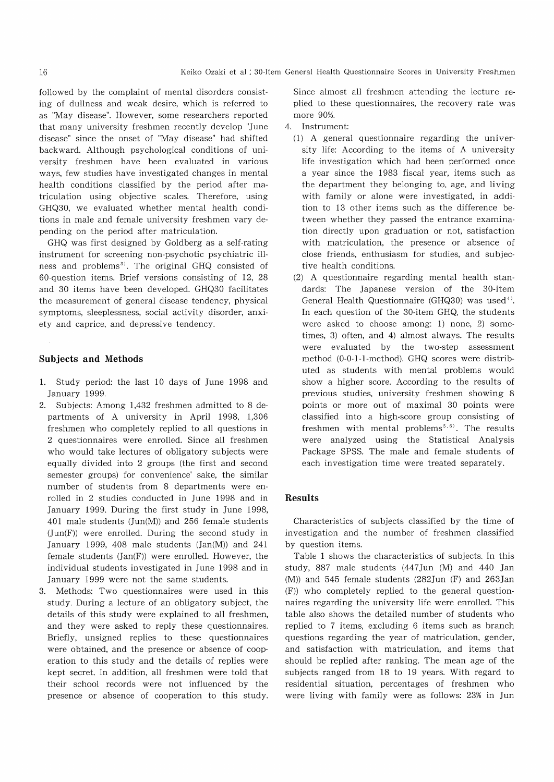followed by the complaint of mental disorders consisting of dullness and weak desire, which is referred to as "May disease". However, some researchers reported that many university freshmen recently develop "June disease" since the onset of "May disease" had shifted backward. Although psychological conditions of university freshmen have been evaluated in various ways, few studies have investigated changes in mental health conditions classified by the period after matriculation using objective scales. Therefore, using GHQ30, we evaluated whether mental health conditions in male and female university freshmen vary depending on the period after matriculation.

GHQ was first designed by Goldberg as a self-rating instrument for screening non-psychotic psychiatric illness and problems<sup>3)</sup>. The original GHQ consisted of 60-question items. Brief versions consisting of 12, 28 and 30 items have been developed. GHQ30 facilitates the measurement of general disease tendency, physical symptoms, sleeplessness, social activity disorder, anxiety and caprice, and depressive tendency.

## Subjects and Methods

- 1. Study period: the last 10 days of June 1998 and January 1999.
- 2. Subjects: Among 1,432 freshmen admitted to 8 departments of A university in April 1998, 1,306 freshmen who completely replied to all questions in 2 questionnaires were enrolled. Since all freshmen who would take lectures of obligatory subjects were equally divided into 2 groups (the first and second semester groups) for convenience' sake, the similar number of students from 8 departments were enrolled in 2 studies conducted in June 1998 and in January 1999. During the first study in June 1998, 401 male students (Jun(M)) and 256 female students (Jun(F)) were enrolled. During the second study in January 1999, 408 male students (Jan(M)) and 241 female students  $(Jan(F))$  were enrolled. However, the individual students investigated in June 1998 and in January 1999 were not the same students.
- 3. Methods: Two questionnaires were used in this study. During a lecture of an obligatory subject, the details of this study were explained to all freshmen, and they were asked to reply these questionnaires. Briefly, unsigned replies to these questionnaires were obtained, and the presence or absence of cooperation to this study and the details of replies were kept secret. In addition, all freshmen were told that their school records were not influenced by the presence or absence of cooperation to this study.

Since almost all freshmen attending the lecture replied to these questionnaires, the recovery rate was more 90%.

- 4. Instrument:
	- (1) A general questionnaire regarding the university life: According to the items of A university life investigation which had been performed once a year since the 1983 fiscal year, items such as the department they belonging to, age, and living with family or alone were investigated, in addition to 13 other items such as the difference between whether they passed the entrance examination directly upon graduation or not, satisfaction with matriculation, the presence or absence of close friends, enthusiasm for studies, and subjective health conditions.
	- (2) A questionnaire regarding mental health standards: The Japanese version of the 30-item General Health Questionnaire (GHQ30) was used<sup>4)</sup>. In each question of the 30-item GHQ, the students were asked to choose among: 1) none, 2) sometimes, 3) often, and 4) almost always. The results were evaluated by the two-step assessment method (0-0-1-1-method). GHQ scores were distributed as students with mental problems would show a higher score. According to the results of previous studies, university freshmen showing 8 points or more out of maximal 30 points were classified into a high-score group consisting of freshmen with mental problems<sup> $5, 6$ </sup>). The results were analyzed using the Statistical Analysis Package SPSS. The male and female students of each investigation time were treated separately.

## Results

Characteristics of subjects classified by the time of investigation and the number of freshmen classified by question items.

Table 1 shows the characteristics of subjects. In this study, 887 male students (447Jun (M) and 440 Jan (M)) and 545 female students (282Jun (F) and 263Jan (F)) who completely replied to the general questionnaires regarding the university life were enrolled. This table also shows the detailed number of students who replied to 7 items, excluding 6 items such as branch questions regarding the year of matriculation, gender, and satisfaction with matriculation, and items that should be replied after ranking. The mean age of the subjects ranged from 18 to 19 years. With regard to residential situation, percentages of freshmen who were living with family were as follows: 23% in Jun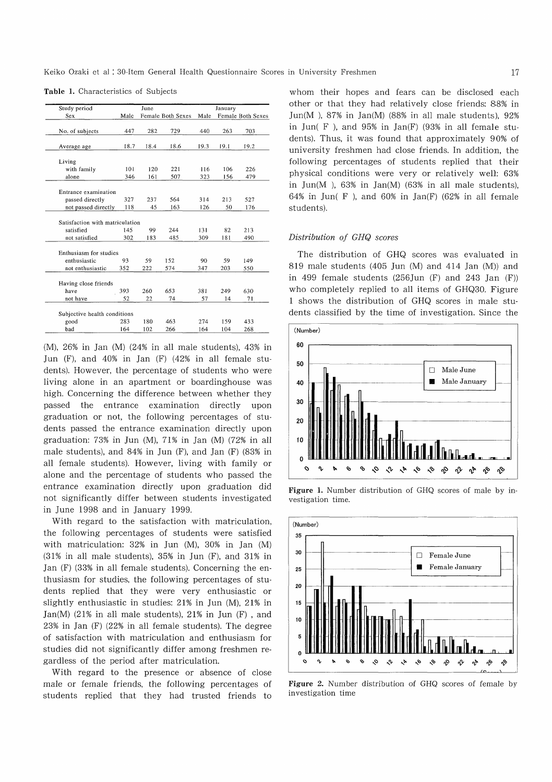Keiko Ozaki et al : 30-Item General Health Questionnaire Scores in University Freshmen

| Male<br>447<br>18.7<br>101<br>346<br>327<br>118<br>Satisfaction with matriculation<br>145 | 282<br>18.4<br>120<br>161<br>237<br>45<br>99 | Female Both Sexes<br>729<br>18.6<br>221<br>507<br>564<br>163<br>244 | Male<br>440<br>19.3<br>116<br>323<br>314<br>126 | 263<br>19.1<br>106<br>156<br>213<br>50 | Female Both Sexes<br>703<br>19.2<br>226<br>479<br>527<br>176 |  |
|-------------------------------------------------------------------------------------------|----------------------------------------------|---------------------------------------------------------------------|-------------------------------------------------|----------------------------------------|--------------------------------------------------------------|--|
|                                                                                           |                                              |                                                                     |                                                 |                                        |                                                              |  |
|                                                                                           |                                              |                                                                     |                                                 |                                        |                                                              |  |
|                                                                                           |                                              |                                                                     |                                                 |                                        |                                                              |  |
|                                                                                           |                                              |                                                                     |                                                 |                                        |                                                              |  |
|                                                                                           |                                              |                                                                     |                                                 |                                        |                                                              |  |
|                                                                                           |                                              |                                                                     |                                                 |                                        |                                                              |  |
|                                                                                           |                                              |                                                                     |                                                 |                                        |                                                              |  |
|                                                                                           |                                              |                                                                     |                                                 |                                        |                                                              |  |
|                                                                                           |                                              |                                                                     |                                                 |                                        |                                                              |  |
|                                                                                           |                                              |                                                                     |                                                 |                                        |                                                              |  |
|                                                                                           |                                              |                                                                     |                                                 |                                        |                                                              |  |
|                                                                                           |                                              |                                                                     | 131                                             | 82                                     | 213                                                          |  |
|                                                                                           |                                              | 485                                                                 | 309                                             | 181                                    | 490                                                          |  |
| 302                                                                                       | 183                                          |                                                                     |                                                 |                                        |                                                              |  |
|                                                                                           |                                              |                                                                     |                                                 |                                        |                                                              |  |
| 93                                                                                        | 59                                           | 152                                                                 | 90                                              | 59                                     | 149                                                          |  |
| 352                                                                                       | 222                                          | 574                                                                 | 347                                             | 203                                    | 550                                                          |  |
|                                                                                           |                                              |                                                                     |                                                 |                                        |                                                              |  |
|                                                                                           | 260                                          | 653                                                                 | 381                                             | 249                                    | 630                                                          |  |
| 52                                                                                        | 22                                           | 74                                                                  | 57                                              | 14                                     | 71                                                           |  |
|                                                                                           |                                              |                                                                     |                                                 |                                        |                                                              |  |
|                                                                                           |                                              |                                                                     |                                                 |                                        |                                                              |  |
| 283                                                                                       | 180                                          | 463                                                                 | 274                                             | 159                                    | 433                                                          |  |
|                                                                                           | 393                                          |                                                                     |                                                 |                                        | Subjective health conditions                                 |  |

Table 1. Characteristics of Subjects

(M), 26% in Jan (M) (24% in all male students), 43% in Jun (F), and 40% in Jan (F) (42% in all female students). However, the percentage of students who were living alone in an apartment or boardinghouse was high. Concerning the difference between whether they passed the entrance examination directly upon graduation or not, the following percentages of students passed the entrance examination directly upon graduation: 73% in Jun (M), 71% in Jan (M) (72% in all male students), and 84% in Jun (F), and Jan (F) (83% in all female students). However, living with family or alone and the percentage of students who passed the entrance examination directly upon graduation did not significantly differ between students investigated in June 1998 and in January 1999.

With regard to the satisfaction with matriculation, the following percentages of students were satisfied with matriculation: 32% in Jun (M), 30% in Jan (M) (31% in all male students), 35% in Jun (F), and 31% in Jan (F) (33% in all female students). Concerning the enthusiasm for studies, the following percentages of students replied that they were very enthusiastic or slightly enthusiastic in studies: 21% in Jun (M), 21% in Jan(M) (21% in all male students), 21% in Jun (F) , and 23% in Jan (F) (22% in all female students). The degree of satisfaction with matriculation and enthusiasm for studies did not significantly differ among freshmen regardless of the period after matriculation.

With regard to the presence or absence of close male or female friends, the following percentages of students replied that they had trusted friends to whom their hopes and fears can be disclosed each other or that they had relatively close friends: 88% in Jun(M), 87% in Jan(M) (88% in all male students),  $92\%$ in Jun( F ), and 95% in Jan(F) (93% in all female students). Thus, it was found that approximately 90% of university freshmen had close friends. In addition, the following percentages of students replied that their physical conditions were very or relatively well: 63% in Jun(M ), 63% in Jan(M) (63% in all male students), 64% in Jun( F), and 60% in Jan(F) (62% in all female students).

### Distribution of GHQ scores

The distribution of GHQ scores was evaluated in 819 male students (405 Jun (M) and 414 Jan (M)) and in 499 female students  $(256$ Jun  $(F)$  and  $243$  Jan  $(F)$ ) who completely replied to all items of GHQ30. Figure 1 shows the distribution of GHQ scores in male students classified by the time of investigation. Since the







Figure 2. Number distribution of GHQ scores of female by investigation time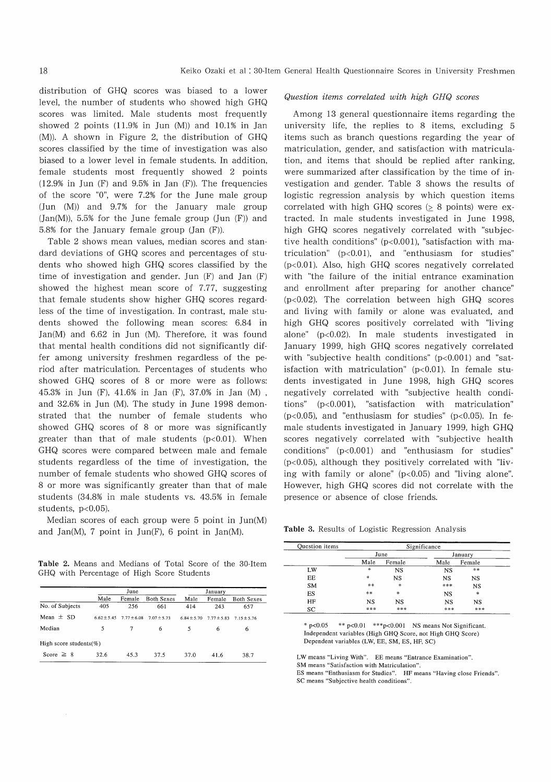distribution of GHQ scores was biased to a lower level, the number of students who showed high GHQ scores was limited. Male students most frequently showed 2 points (11.9% in Jun (M)) and 10.1% in Jan (M)). A shown in Figure 2, the distribution of GHQ scores classified by the time of investigation was also biased to a lower level in female students. In addition, female students most frequently showed 2 points  $(12.9\%$  in Jun  $(F)$  and  $9.5\%$  in Jan  $(F)$ ). The frequencies of the score "0", were 7.2% for the June male group (Jun (M)) and 9.7% for the January male group  $(Jan(M))$ , 5.5% for the June female group  $(Jun (F))$  and 5.8% for the January female group (Jan (F)).

Table 2 shows mean values, median scores and standard deviations of GHQ scores and percentages of students who showed high GHQ scores classified by the time of investigation and gender. Jun (F) and Jan (F) showed the highest mean score of 7.77, suggesting that female students show higher GHQ scores regardless of the time of investigation. In contrast, male students showed the following mean scores: 6.84 in Jan(M) and 6.62 in Jun (M). Therefore, it was found that mental health conditions did not significantly differ among university freshmen regardless of the period after matriculation. Percentages of students who showed GHQ scores of 8 or more were as follows: 45.3% in Jun (F), 41.6% in Jan (F), 37.0% in Jan (M) , and 32.6% in Jun (M). The study in June 1998 demonstrated that the number of female students who showed GHQ scores of 8 or more was significantly greater than that of male students  $(p<0.01)$ . When GHQ scores were compared between male and female students regardless of the time of investigation, the number of female students who showed GHQ scores of 8 or more was significantly greater than that of male students (34.8% in male students vs. 43.5% in female students,  $p<0.05$ ).

Median scores of each group were 5 point in Jun(M) and Jan(M), 7 point in Jun(F), 6 point in Jan(M).

Table 2. Means and Medians of Total Score of the 30-Item GHQ with Percentage of High Score Students

|                             |                 | June          |                   |                 |               |                   |
|-----------------------------|-----------------|---------------|-------------------|-----------------|---------------|-------------------|
|                             | Male            | Female        | <b>Both Sexes</b> | Male            | Female        | <b>Both Sexes</b> |
| No. of Subjects             | 405             | 256           | 661               | 414             | 243           | 657               |
| Mean $\pm$ SD               | $6.62 \pm 5.45$ | $7.77 + 6.08$ | $7.07 + 5.73$     | $6.84 \pm 5.70$ | $7.77 + 5.83$ | $7.15 + 5.76$     |
| Median                      | 5               | 7             | 6                 | 5               | 6             | 6                 |
| High score students( $\%$ ) |                 |               |                   |                 |               |                   |
| Score $\geq 8$              | 32.6            | 45.3          | 37.5              | 37.0            | 41.6          | 38.7              |

#### Question items correlated with high GHQ scores

Among 13 general questionnaire items regarding the university life, the replies to 8 items, excluding 5 items such as branch questions regarding the year of matriculation, gender, and satisfaction with matriculation, and items that should be replied after ranking, were summarized after classification by the time of investigation and gender. Table 3 shows the results of logistic regression analysis by which question items correlated with high GHQ scores (> 8 points) were extracted. In male students investigated in June 1998, high GHQ scores negatively correlated with "subjective health conditions" ( $p<0.001$ ), "satisfaction with matriculation" (p<0.01), and "enthusiasm for studies" (p<0.01). Also, high GHQ scores negatively correlated with "the failure of the initial entrance examination and enrollment after preparing for another chance" (p<0.02). The correlation between high GHQ scores and living with family or alone was evaluated, and high GHQ scores positively correlated with "living alone" (p<0.02). In male students investigated in January 1999, high GHQ scores negatively correlated with "subjective health conditions"  $(p<0.001)$  and "satisfaction with matriculation" ( $p<0.01$ ). In female students investigated in June 1998, high GHQ scores negatively correlated with "subjective health conditions" (p<0.001), "satisfaction with matriculation" ( $p$ <0.05), and "enthusiasm for studies" ( $p$ <0.05). In female students investigated in January 1999, high GHQ scores negatively correlated with "subjective health conditions" (p<0.001) and "enthusiasm for studies" (p<0.05), although they positively correlated with "living with family or alone" (p<0.05) and "living alone". However, high GHQ scores did not correlate with the presence or absence of close friends.

Table 3. Results of Logistic Regression Analysis

| Ouestion items | Significance |        |         |           |  |  |  |
|----------------|--------------|--------|---------|-----------|--|--|--|
|                | June         |        | January |           |  |  |  |
|                | Male         | Female | Male    | Female    |  |  |  |
| LW             | *            | NS     | NS      | **        |  |  |  |
| ЕE             | *            | NS     | NS      | NS        |  |  |  |
| <b>SM</b>      | **           | *      | ***     | <b>NS</b> |  |  |  |
| ES             | **           | *      | NS      | *         |  |  |  |
| HF             | NS           | NS     | NS      | <b>NS</b> |  |  |  |
| SC             | ***          | ***    | ***     | ***       |  |  |  |

 $*$  p<0.05  $*$   $*$  p<0.01  $*$  $*$  $*$ p<0.001 NS means Not Significant. Independent variables (High GHQ Score, not High GHQ Score) Dependent variables (LW, EE, SM, ES, HF, SC)

LW means "Living With". EE means "Entrance Examination".

SM means "Satisfaction with Matriculation".

ES means "Enthusiasm for Studies". HF means "Having close Friends". SC means "Subjective health conditions".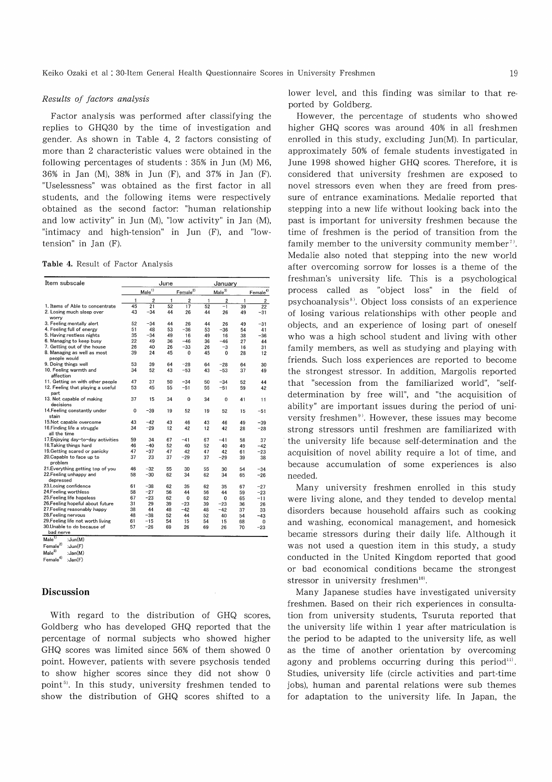#### Results of factors analysis

Factor analysis was performed after classifying the replies to GHQ30 by the time of investigation and gender. As shown in Table 4, 2 factors consisting of more than 2 characteristic values were obtained in the following percentages of students : 35% in Jun (M) M6, 36% in Jan (M), 38% in Jun (F), and 37% in Jan (F). "Uselessness" was obtained as the first factor in all students, and the following items were respectively obtained as the second factor: "human relationship and low activity" in Jun (M), "low activity" in Jan (M), "intimacy and high-tension" in Jun  $(F)$ , and "lowtension" in Jan (F).

| Item subscale                               | June            |                 |                      | Januarv         |                   |                |                      |                         |
|---------------------------------------------|-----------------|-----------------|----------------------|-----------------|-------------------|----------------|----------------------|-------------------------|
|                                             | $Male^{1)}$     |                 | Female <sup>2)</sup> |                 | Male <sup>3</sup> |                | Female <sup>4)</sup> |                         |
|                                             | 1               | $\overline{2}$  | 1                    | $\overline{c}$  | 1                 | $\overline{c}$ | 1                    | $\overline{\mathbf{c}}$ |
| 1. Items of Able to concentrate             | $\overline{45}$ | $\overline{21}$ | 52                   | $\overline{17}$ | $\overline{52}$   | $-1$           | 39                   | $\overline{22}$         |
| 2. Losing much sleep over<br>worry          | 43              | $-34$           | 44                   | 26              | 44                | 26             | 49                   | $-31$                   |
| 3. Feeling mentally alert                   | 52              | $-34$           | 44                   | 26              | 44                | 26             | 49                   | $-31$                   |
| 4. Feeling full of energy                   | 51              | 48              | 53                   | $-36$           | 53                | $-36$          | 54                   | 41                      |
| 5. Having restless nights                   | 35              | $-34$           | 49                   | 16              | 49                | 16             | 38                   | $-36$                   |
| 6. Managing to keep busy                    | 22              | 49              | 36                   | $-46$           | 36                | $-46$          | 27                   | 44                      |
| 7. Getting out of the house                 | 26              | 40              | 26                   | $-33$           | 26                | $-3$           | 16                   | 31                      |
| 8. Managing as well as most<br>people would | 39              | 24              | 45                   | 0               | 45                | 0              | 28                   | 12                      |
| 9. Doing things well                        | 53              | 39              | 64                   | $-28$           | 64                | $-28$          | 64                   | 30                      |
| 10. Feeling warmth and<br>affection         | 34              | 52              | 43                   | $-53$           | 43                | $-53$          | 37                   | 49                      |
| 11. Getting on with other people            | 47              | 37              | 50                   | $-34$           | 50                | $-34$          | 52                   | 44                      |
| 12. Feeling that playing a useful<br>part   | 53              | 45              | 55                   | $-51$           | 55                | $-51$          | 59                   | 42                      |
| 13. Not capable of making<br>decisions      | 37              | 15              | 34                   | 0               | 34                | 0              | 41                   | 11                      |
| 14. Feeling constantly under<br>stain       | $\Omega$        | $-39$           | 19                   | 52              | 19                | 52             | 15                   | $-51$                   |
| 15.Not capable overcome                     | 43              | $-42$           | 43                   | 46              | 43                | 46             | 49                   | $-39$                   |
| 16. Finding life a struggle<br>all the time | 34              | $-29$           | 12                   | 42              | 12                | 42             | 28                   | $-28$                   |
| 17. Enjoying day-to-day activities          | 59              | 34              | 67                   | $-41$           | 67                | $-41$          | 58                   | 37                      |
| 18. Taking things hard                      | 46              | $-40$           | 52                   | 40              | 52                | 40             | 49                   | $-42$                   |
| 19. Getting scared or panicky               | 47              | $-37$           | 47                   | 42              | 47                | 42             | 61                   | $-23$                   |
| 20. Capable to face up to<br>problem        | 37              | 23              | 37                   | $-29$           | 37                | $-29$          | 39                   | 38                      |
| 21. Everything getting top of you           | 46              | $-32$           | 55                   | 30              | 55                | 30             | 54                   | $-34$                   |
| 22. Feeling unhappy and<br>depressed        | 58              | $-30$           | 62                   | 34              | 62                | 34             | 65                   | $-26$                   |
| 23.Losing confidence                        | 61              | $-38$           | 62                   | 35              | 62                | 35             | 67                   | $-27$                   |
| 24. Feeling worthless                       | 58              | $-27$           | 56                   | 44              | 56                | 44             | 59                   | $-23$                   |
| 25. Feeling life hopeless                   | 67              | $-23$           | 62                   | 0               | 62                | $\Omega$       | 65                   | $-11$                   |
| 26.Feeling hopeful about future             | 31              | 29              | 39                   | $-23$           | 39                | $-23$          | 36                   | 26                      |
| 27. Feeling reasonably happy                | 38              | 44              | 48                   | $-42$           | 48                | $-42$          | 37                   | 33                      |
| 28. Feeling nervous                         | 48              | $-38$           | 52                   | 44              | 52                | 40             | 54                   | $-43$                   |
| 29. Feeling life not worth living           | 61              | $-15$           | 54                   | 15              | 54                | 15             | 68                   | 0                       |
| 30.Unable to do because of<br>bad nerve     | 57              | $-26$           | 69                   | 26              | 69                | 26             | 70                   | $-23$                   |
|                                             |                 |                 |                      |                 |                   |                |                      |                         |

Male<sup>1)</sup> :Jun(M)<br>Female<sup>2)</sup> :Jun(F)

 $\mathsf{Male}^{3)}$  :Jan $(\mathsf{M})$ 

Female<sup>4)</sup> :Jan(F)

### Discussion

With regard to the distribution of GHQ scores, Goldberg who has developed GHQ reported that the percentage of normal subjects who showed higher GHQ scores was limited since 56% of them showed 0 point. However, patients with severe psychosis tended to show higher scores since they did not show 0 point<sup>5)</sup>. In this study, university freshmen tended to show the distribution of GHQ scores shifted to a lower level, and this finding was similar to that reported by Goldberg.

However, the percentage of students who showed higher GHQ scores was around 40% in all freshmen enrolled in this study, excluding Jun(M). In particular, approximately 50% of female students investigated in June 1998 showed higher GHQ scores. Therefore, it is considered that university freshmen are exposed to novel stressors even when they are freed from pressure of entrance examinations. Medalie reported that stepping into a new life without looking back into the past is important for university freshmen because the time of freshmen is the period of transition from the family member to the university community member<sup>7</sup>. Medalie also noted that stepping into the new world after overcoming sorrow for losses is a theme of the freshman's university life. This is a psychological process called as "object loss" in the field of psychoanalysis 8'. Object loss consists of an experience of losing various relationships with other people and objects, and an experience of losing part of oneself who was a high school student and living with other family members, as well as studying and playing with friends. Such loss experiences are reported to become the strongest stressor. In addition, Margolis reported that "secession from the familiarized world", "selfdetermination by free will", and "the acquisition of ability" are important issues during the period of university freshmen<sup>9)</sup>. However, these issues may become strong stressors until freshmen are familiarized with the university life because self-determination and the acquisition of novel ability require a lot of time, and because accumulation of some experiences is also needed.

Many university freshmen enrolled in this study were living alone, and they tended to develop mental disorders because household affairs such as cooking and washing, economical management, and homesick became stressors during their daily life. Although it was not used a question item in this study, a study conducted in the United Kingdom reported that good or bad economical conditions became the strongest stressor in university freshmen<sup>10)</sup>.

Many Japanese studies have investigated university freshmen. Based on their rich experiences in consultation from university students, Tsuruta reported that the university life within 1 year after matriculation is the period to be adapted to the university life, as well as the time of another orientation by overcoming agony and problems occurring during this period $^{\text{11}}$ . Studies, university life (circle activities and part-time jobs), human and parental relations were sub themes for adaptation to the university life. In Japan, the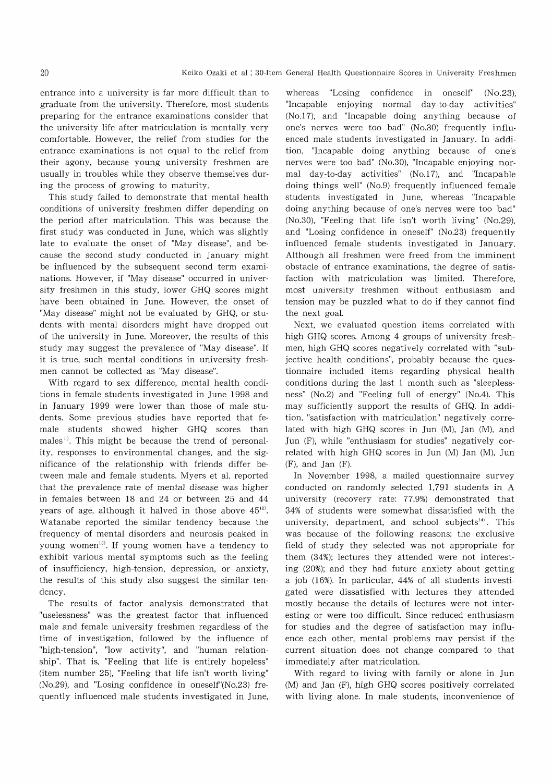entrance into a university is far more difficult than to graduate from the university. Therefore, most students preparing for the entrance examinations consider that the university life after matriculation is mentally very comfortable. However, the relief from studies for the entrance examinations is not equal to the relief from their agony, because young university freshmen are usually in troubles while they observe themselves during the process of growing to maturity.

This study failed to demonstrate that mental health conditions of university freshmen differ depending on the period after matriculation. This was because the first study was conducted in June, which was slightly late to evaluate the onset of "May disease", and because the second study conducted in January might be influenced by the subsequent second term examinations. However, if "May disease" occurred in university freshmen in this study, lower GHQ scores might have been obtained in June. However, the onset of "May disease" might not be evaluated by GHQ, or stu dents with mental disorders might have dropped out of the university in June. Moreover, the results of this study may suggest the prevalence of "May disease". If it is true, such mental conditions in university freshmen cannot be collected as "May disease".

With regard to sex difference, mental health conditions in female students investigated in June 1998 and in January 1999 were lower than those of male students. Some previous studies have reported that female students showed higher GHQ scores than males''. This might be because the trend of personality, responses to environmental changes, and the significance of the relationship with friends differ between male and female students. Myers et al. reported that the prevalence rate of mental disease was higher in females between 18 and 24 or between 25 and 44 years of age, although it halved in those above  $45^{12}$ . Watanabe reported the similar tendency because the frequency of mental disorders and neurosis peaked in young women<sup>13)</sup>. If young women have a tendency to exhibit various mental symptoms such as the feeling of insufficiency, high-tension, depression, or anxiety, the results of this study also suggest the similar tendency.

The results of factor analysis demonstrated that "uselessness" was the greatest factor that influenced male and female university freshmen regardless of the time of investigation, followed by the influence of "high-tension", "low activity", and "human relation" ship". That is, "Feeling that life is entirely hopeless" (item number 25), "Feeling that life isn't worth living" (No.29), and "Losing confidence in oneself"(No.23) frequently influenced male students investigated in June,

whereas "Losing confidence in oneself" (No.23), "Incapable enjoying normal day-to-day activities" (No.17), and "Incapable doing anything because of one's nerves were too bad" (No.30) frequently influenced male students investigated in January. In addition, "Incapable doing anything because of one's nerves were too bad" (No.30), "Incapable enjoying normal day-to-day activities" (No.17), and "Incapable doing things well" (No.9) frequently influenced female students investigated in June, whereas "Incapable doing anything because of one's nerves were too bad" (No.30), "Feeling that life isn't worth living" (No.29), and "Losing confidence in oneself" (No.23) frequently influenced female students investigated in January. Although all freshmen were freed from the imminent obstacle of entrance examinations, the degree of satisfaction with matriculation was limited. Therefore, most university freshmen without enthusiasm and tension may be puzzled what to do if they cannot find the next goal.

Next, we evaluated question items correlated with high GHQ scores. Among 4 groups of university freshmen, high GHQ scores negatively correlated with "subjective health conditions", probably because the questionnaire included items regarding physical health conditions during the last 1 month such as "sleeplessness" (No.2) and "Feeling full of energy" (No.4). This may sufficiently support the results of GHQ. In addition, "satisfaction with matriculation" negatively correlated with high GHQ scores in Jun (M), Jan (M), and Jun (F), while "enthusiasm for studies" negatively correlated with high GHQ scores in Jun (M) Jan (M), Jun  $(F)$ , and Jan  $(F)$ .

In November 1998, a mailed questionnaire survey conducted on randomly selected 1,791 students in A university (recovery rate: 77.9%) demonstrated that 34% of students were somewhat dissatisfied with the university, department, and school subjects<sup>14)</sup>. This was because of the following reasons: the exclusive field of study they selected was not appropriate for them (34%); lectures they attended were not interesting (20%); and they had future anxiety about getting a job (16%). In particular, 44% of all students investigated were dissatisfied with lectures they attended mostly because the details of lectures were not interesting or were too difficult. Since reduced enthusiasm for studies and the degree of satisfaction may influence each other, mental problems may persist if the current situation does not change compared to that immediately after matriculation.

With regard to living with family or alone in Jun (M) and Jan (F), high GHQ scores positively correlated with living alone. In male students, inconvenience of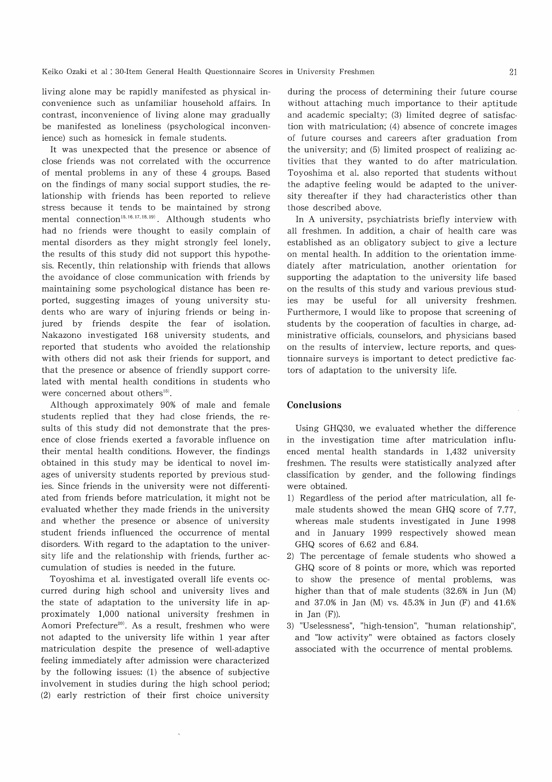living alone may be rapidly manifested as physical inconvenience such as unfamiliar household affairs. In contrast, inconvenience of living alone may gradually be manifested as loneliness (psychological inconvenience) such as homesick in female students.

It was unexpected that the presence or absence of close friends was not correlated with the occurrence of mental problems in any of these 4 groups. Based on the findings of many social support studies, the relationship with friends has been reported to relieve stress because it tends to be maintained by strong mental connection<sup>15, 16, 17, 18, 19)</sup>. Although students who had no friends were thought to easily complain of mental disorders as they might strongly feel lonely, the results of this study did not support this hypothesis. Recently, thin relationship with friends that allows the avoidance of close communication with friends by maintaining some psychological distance has been reported, suggesting images of young university students who are wary of injuring friends or being injured by friends despite the fear of isolation. Nakazono investigated 168 university students, and reported that students who avoided the relationship with others did not ask their friends for support, and that the presence or absence of friendly support correlated with mental health conditions in students who were concerned about others<sup>15)</sup>.

Although approximately 90% of male and female students replied that they had close friends, the results of this study did not demonstrate that the presence of close friends exerted a favorable influence on their mental health conditions. However, the findings obtained in this study may be identical to novel images of university students reported by previous studies. Since friends in the university were not differentiated from friends before matriculation, it might not be evaluated whether they made friends in the university and whether the presence or absence of university student friends influenced the occurrence of mental disorders. With regard to the adaptation to the university life and the relationship with friends, further accumulation of studies is needed in the future.

Toyoshima et al. investigated overall life events occurred during high school and university lives and the state of adaptation to the university life in approximately 1,000 national university freshmen in Aomori Prefecture<sup>20)</sup>. As a result, freshmen who were not adapted to the university life within 1 year after matriculation despite the presence of well-adaptive feeling immediately after admission were characterized by the following issues: (1) the absence of subjective involvement in studies during the high school period; (2) early restriction of their first choice university

during the process of determining their future course without attaching much importance to their aptitude and academic specialty; (3) limited degree of satisfaction with matriculation; (4) absence of concrete images of future courses and careers after graduation from the university; and (5) limited prospect of realizing activities that they wanted to do after matriculation. Toyoshima et al. also reported that students without the adaptive feeling would be adapted to the university thereafter if they had characteristics other than those described above.

In A university, psychiatrists briefly interview with all freshmen. In addition, a chair of health care was established as an obligatory subject to give a lecture on mental health. In addition to the orientation immediately after matriculation, another orientation for supporting the adaptation to the university life based on the results of this study and various previous studies may be useful for all university freshmen. Furthermore, I would like to propose that screening of students by the cooperation of faculties in charge, administrative officials, counselors, and physicians based on the results of interview, lecture reports, and questionnaire surveys is important to detect predictive factors of adaptation to the university life.

#### Conclusions

Using GHQ30, we evaluated whether the difference in the investigation time after matriculation influenced mental health standards in 1,432 university freshmen. The results were statistically analyzed after classification by gender, and the following findings were obtained.

- 1) Regardless of the period after matriculation, all female students showed the mean GHQ score of 7.77, whereas male students investigated in June 1998 and in January 1999 respectively showed mean GHQ scores of 6.62 and 6.84.
- 2) The percentage of female students who showed a GHQ score of 8 points or more, which was reported to show the presence of mental problems, was higher than that of male students (32.6% in Jun (M) and 37.0% in Jan (M) vs. 45.3% in Jun (F) and 41.6% in Jan (F)).
- 3) "Uselessness", "high-tension", "human relationship", and "low activity" were obtained as factors closely associated with the occurrence of mental problems.